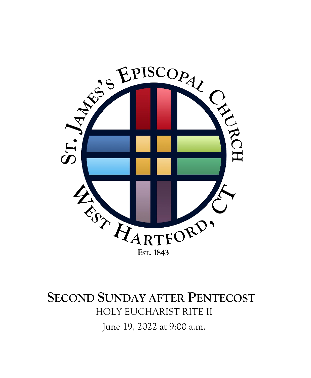

## **SECOND SUNDAY AFTER PENTECOST** HOLY EUCHARIST RITE II

June 19, 2022 at 9:00 a.m.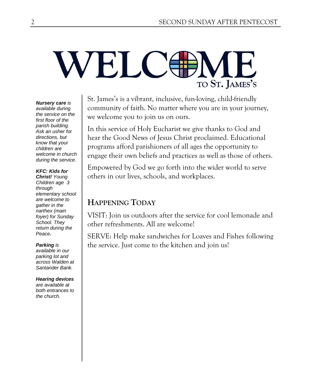## **VELC** TO ST. JAMES'S

St. James's is a vibrant, inclusive, fun-loving, child-friendly community of faith. No matter where you are in your journey, we welcome you to join us on ours.

In this service of Holy Eucharist we give thanks to God and hear the Good News of Jesus Christ proclaimed. Educational programs afford parishioners of all ages the opportunity to engage their own beliefs and practices as well as those of others.

Empowered by God we go forth into the wider world to serve others in our lives, schools, and workplaces.

## **HAPPENING TODAY**

VISIT: Join us outdoors after the service for cool lemonade and other refreshments. All are welcome!

SERVE: Help make sandwiches for Loaves and Fishes following the service. Just come to the kitchen and join us!

#### *available during the service on the first floor of the parish building. Ask an usher for directions, but know that your children are welcome in church during the service.*

*Nursery care is*

#### *KFC: Kids for*

*Christ! Young Children age 3 through elementary school are welcome to gather in the narthex (main foyer) for Sunday School. They return during the Peace.*

#### *Parking is available in our parking lot and across Walden at Santander Bank.*

#### *Hearing devices*

*are available at both entrances to the church.*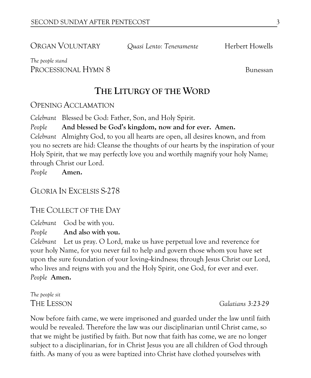ORGAN VOLUNTARY *Quasi Lento: Teneramente* Herbert Howells

#### *The people stand* PROCESSIONAL HYMN 8 Bunessan

**THE LITURGY OF THE WORD**

#### OPENING ACCLAMATION

*Celebrant* Blessed be God: Father, Son, and Holy Spirit.

*People* **And blessed be God's kingdom, now and for ever. Amen.**

*Celebrant* Almighty God, to you all hearts are open, all desires known, and from you no secrets are hid: Cleanse the thoughts of our hearts by the inspiration of your Holy Spirit, that we may perfectly love you and worthily magnify your holy Name; through Christ our Lord.

*People* **Amen.**

#### GLORIA IN EXCELSIS S-278

#### THE COLLECT OF THE DAY

*Celebrant* God be with you.

*People* **And also with you.**

*Celebrant* Let us pray. O Lord, make us have perpetual love and reverence for your holy Name, for you never fail to help and govern those whom you have set upon the sure foundation of your loving--kindness; through Jesus Christ our Lord, who lives and reigns with you and the Holy Spirit, one God, for ever and ever. *People* **Amen.**

*The people sit*

THE LESSON *Galatians 3:23-29*

Now before faith came, we were imprisoned and guarded under the law until faith would be revealed. Therefore the law was our disciplinarian until Christ came, so that we might be justified by faith. But now that faith has come, we are no longer subject to a disciplinarian, for in Christ Jesus you are all children of God through faith. As many of you as were baptized into Christ have clothed yourselves with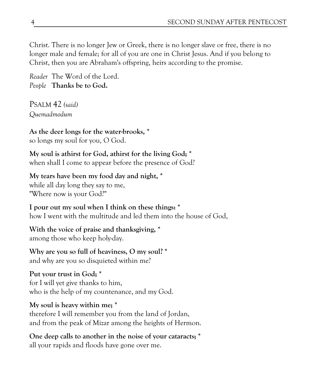Christ. There is no longer Jew or Greek, there is no longer slave or free, there is no longer male and female; for all of you are one in Christ Jesus. And if you belong to Christ, then you are Abraham's offspring, heirs according to the promise.

*Reader* The Word of the Lord. *People* **Thanks be to God.** 

PSALM 42 *(said) Quemadmodum*

**As the deer longs for the water-brooks, \*** so longs my soul for you, O God.

**My soul is athirst for God, athirst for the living God; \*** when shall I come to appear before the presence of God?

**My tears have been my food day and night, \*** while all day long they say to me, "Where now is your God?"

**I pour out my soul when I think on these things: \*** how I went with the multitude and led them into the house of God,

**With the voice of praise and thanksgiving, \*** among those who keep holy-day.

**Why are you so full of heaviness, O my soul? \*** and why are you so disquieted within me?

**Put your trust in God; \*** for I will yet give thanks to him, who is the help of my countenance, and my God.

#### **My soul is heavy within me; \***

therefore I will remember you from the land of Jordan, and from the peak of Mizar among the heights of Hermon.

**One deep calls to another in the noise of your cataracts; \*** all your rapids and floods have gone over me.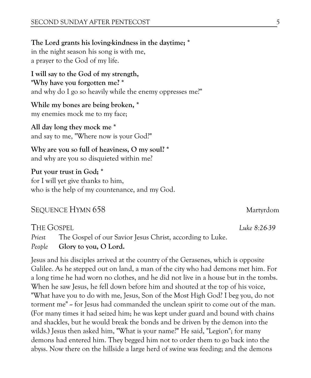**The Lord grants his loving-kindness in the daytime; \*** in the night season his song is with me, a prayer to the God of my life.

**I will say to the God of my strength, "Why have you forgotten me? \*** and why do I go so heavily while the enemy oppresses me?"

**While my bones are being broken, \*** my enemies mock me to my face;

**All day long they mock me \*** and say to me, "Where now is your God?"

**Why are you so full of heaviness, O my soul? \*** and why are you so disquieted within me?

**Put your trust in God; \*** for I will yet give thanks to him, who is the help of my countenance, and my God.

#### SEQUENCE HYMN 658 Martyrdom

THE GOSPEL *Luke 8:26-39*

*Priest* The Gospel of our Savior Jesus Christ, according to Luke. *People* **Glory to you, O Lord.**

Jesus and his disciples arrived at the country of the Gerasenes, which is opposite Galilee. As he stepped out on land, a man of the city who had demons met him. For a long time he had worn no clothes, and he did not live in a house but in the tombs. When he saw Jesus, he fell down before him and shouted at the top of his voice, "What have you to do with me, Jesus, Son of the Most High God? I beg you, do not torment me" -- for Jesus had commanded the unclean spirit to come out of the man. (For many times it had seized him; he was kept under guard and bound with chains and shackles, but he would break the bonds and be driven by the demon into the wilds.) Jesus then asked him, "What is your name?" He said, "Legion"; for many demons had entered him. They begged him not to order them to go back into the abyss. Now there on the hillside a large herd of swine was feeding; and the demons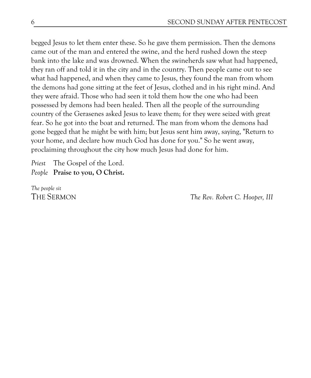begged Jesus to let them enter these. So he gave them permission. Then the demons came out of the man and entered the swine, and the herd rushed down the steep bank into the lake and was drowned. When the swineherds saw what had happened, they ran off and told it in the city and in the country. Then people came out to see what had happened, and when they came to Jesus, they found the man from whom the demons had gone sitting at the feet of Jesus, clothed and in his right mind. And they were afraid. Those who had seen it told them how the one who had been possessed by demons had been healed. Then all the people of the surrounding country of the Gerasenes asked Jesus to leave them; for they were seized with great fear. So he got into the boat and returned. The man from whom the demons had gone begged that he might be with him; but Jesus sent him away, saying, "Return to your home, and declare how much God has done for you." So he went away, proclaiming throughout the city how much Jesus had done for him.

*Priest* The Gospel of the Lord. *People* **Praise to you, O Christ.** 

*The people sit*

THE SERMON *The Rev. Robert C. Hooper, III*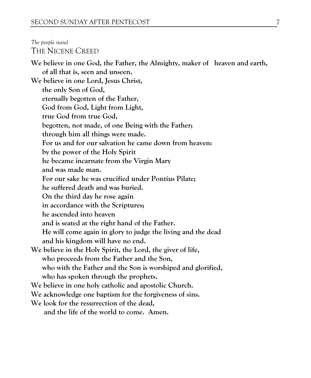#### *The people stand* THE NICENE CREED **We believe in one God, the Father, the Almighty, maker of heaven and earth, of all that is, seen and unseen. We believe in one Lord, Jesus Christ, the only Son of God, eternally begotten of the Father, God from God, Light from Light, true God from true God, begotten, not made, of one Being with the Father; through him all things were made. For us and for our salvation he came down from heaven: by the power of the Holy Spirit he became incarnate from the Virgin Mary and was made man. For our sake he was crucified under Pontius Pilate; he suffered death and was buried. On the third day he rose again in accordance with the Scriptures; he ascended into heaven and is seated at the right hand of the Father. He will come again in glory to judge the living and the dead and his kingdom will have no end. We believe in the Holy Spirit, the Lord, the giver of life, who proceeds from the Father and the Son, who with the Father and the Son is worshiped and glorified, who has spoken through the prophets. We believe in one holy catholic and apostolic Church. We acknowledge one baptism for the forgiveness of sins. We look for the resurrection of the dead, and the life of the world to come. Amen.**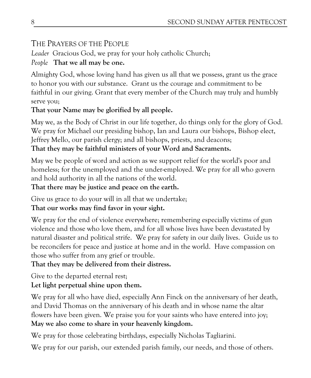#### THE PRAYERS OF THE PEOPLE

*Leader* Gracious God, we pray for your holy catholic Church;

#### *People* **That we all may be one.**

Almighty God, whose loving hand has given us all that we possess, grant us the grace to honor you with our substance. Grant us the courage and commitment to be faithful in our giving. Grant that every member of the Church may truly and humbly serve you;

#### **That your Name may be glorified by all people.**

May we, as the Body of Christ in our life together, do things only for the glory of God. We pray for Michael our presiding bishop, Ian and Laura our bishops, Bishop elect, Jeffrey Mello, our parish clergy; and all bishops, priests, and deacons; **That they may be faithful ministers of your Word and Sacraments.** 

May we be people of word and action as we support relief for the world's poor and homeless; for the unemployed and the under-employed. We pray for all who govern and hold authority in all the nations of the world.

#### **That there may be justice and peace on the earth.**

Give us grace to do your will in all that we undertake; **That our works may find favor in your sight.** 

We pray for the end of violence everywhere; remembering especially victims of gun violence and those who love them, and for all whose lives have been devastated by natural disaster and political strife. We pray for safety in our daily lives. Guide us to be reconcilers for peace and justice at home and in the world. Have compassion on those who suffer from any grief or trouble.

## **That they may be delivered from their distress.**

Give to the departed eternal rest; **Let light perpetual shine upon them.** 

We pray for all who have died, especially Ann Finck on the anniversary of her death, and David Thomas on the anniversary of his death and in whose name the altar flowers have been given. We praise you for your saints who have entered into joy; **May we also come to share in your heavenly kingdom.**

We pray for those celebrating birthdays, especially Nicholas Tagliarini.

We pray for our parish, our extended parish family, our needs, and those of others.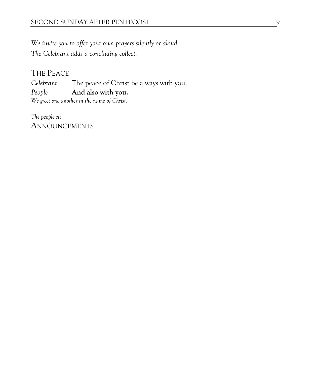*We invite you to offer your own prayers silently or aloud. The Celebrant adds a concluding collect.* 

## THE PEACE

*Celebrant* The peace of Christ be always with you. *People* **And also with you.** *We greet one another in the name of Christ.*

*The people sit* ANNOUNCEMENTS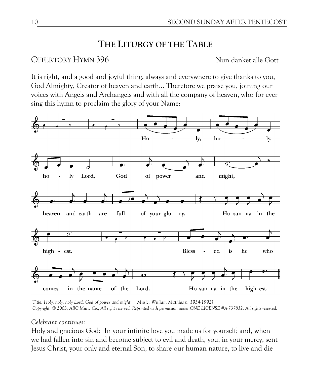## **THE LITURGY OF THE TABLE**

#### OFFERTORY HYMN 396 Nun danket alle Gott

It is right, and a good and joyful thing, always and everywhere to give thanks to you, God Almighty, Creator of heaven and earth… Therefore we praise you, joining our voices with Angels and Archangels and with all the company of heaven, who for ever sing this hymn to proclaim the glory of your Name:



*Title: Holy, holy, holy Lord, God of power and might Music: William Mathias b. 1934-1992) Copyright: © 2003, ABC Music Co., All right reserved. Reprinted with permission under ONE LICENSE #A-737832. All rights reserved.* 

#### *Celebrant continues:*

Holy and gracious God: In your infinite love you made us for yourself; and, when we had fallen into sin and become subject to evil and death, you, in your mercy, sent Jesus Christ, your only and eternal Son, to share our human nature, to live and die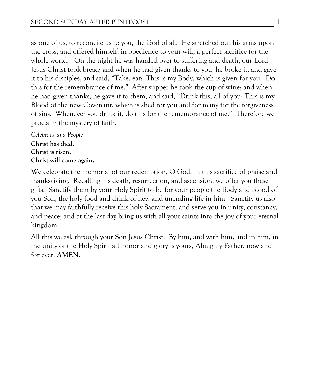as one of us, to reconcile us to you, the God of all. He stretched out his arms upon the cross, and offered himself, in obedience to your will, a perfect sacrifice for the whole world. On the night he was handed over to suffering and death, our Lord Jesus Christ took bread; and when he had given thanks to you, he broke it, and gave it to his disciples, and said, "Take, eat: This is my Body, which is given for you. Do this for the remembrance of me." After supper he took the cup of wine; and when he had given thanks, he gave it to them, and said, "Drink this, all of you: This is my Blood of the new Covenant, which is shed for you and for many for the forgiveness of sins. Whenever you drink it, do this for the remembrance of me." Therefore we proclaim the mystery of faith,

*Celebrant and People* **Christ has died. Christ is risen. Christ will come again.**

We celebrate the memorial of our redemption, O God, in this sacrifice of praise and thanksgiving. Recalling his death, resurrection, and ascension, we offer you these gifts. Sanctify them by your Holy Spirit to be for your people the Body and Blood of you Son, the holy food and drink of new and unending life in him. Sanctify us also that we may faithfully receive this holy Sacrament, and serve you in unity, constancy, and peace; and at the last day bring us with all your saints into the joy of your eternal kingdom.

All this we ask through your Son Jesus Christ. By him, and with him, and in him, in the unity of the Holy Spirit all honor and glory is yours, Almighty Father, now and for ever. **AMEN.**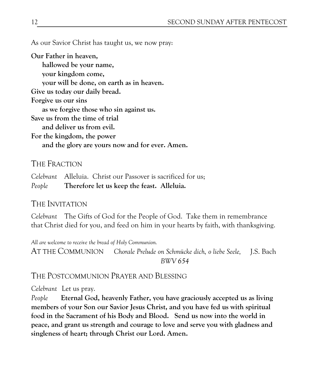As our Savior Christ has taught us, we now pray:

**Our Father in heaven, hallowed be your name, your kingdom come, your will be done, on earth as in heaven. Give us today our daily bread. Forgive us our sins as we forgive those who sin against us. Save us from the time of trial and deliver us from evil. For the kingdom, the power and the glory are yours now and for ever. Amen.**

#### THE FRACTION

*Celebrant* Alleluia. Christ our Passover is sacrificed for us; *People* **Therefore let us keep the feast. Alleluia.**

#### THE INVITATION

*Celebrant* The Gifts of God for the People of God. Take them in remembrance that Christ died for you, and feed on him in your hearts by faith, with thanksgiving.

*All are welcome to receive the bread of Holy Communion.*  AT THE COMMUNION *Chorale Prelude on Schmücke dich, o liebe Seele,* J.S. Bach  *BWV 654*

#### THE POSTCOMMUNION PRAYER AND BLESSING

*Celebrant* Let us pray.

*People* **Eternal God, heavenly Father, you have graciously accepted us as living members of your Son our Savior Jesus Christ, and you have fed us with spiritual food in the Sacrament of his Body and Blood. Send us now into the world in peace, and grant us strength and courage to love and serve you with gladness and singleness of heart; through Christ our Lord. Amen.**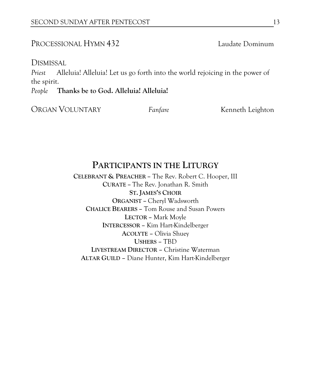#### PROCESSIONAL HYMN 432 Laudate Dominum

DISMISSAL

*Priest* Alleluia! Alleluia! Let us go forth into the world rejoicing in the power of the spirit.

*People* **Thanks be to God. Alleluia! Alleluia!**

ORGAN VOLUNTARY **Fanfare** *Fanfare Kenneth Leighton* 

#### **PARTICIPANTS IN THE LITURGY**

**CELEBRANT & PREACHER –** The Rev. Robert C. Hooper, III **CURATE –** The Rev. Jonathan R. Smith **ST. JAMES'S CHOIR ORGANIST –** Cheryl Wadsworth **CHALICE BEARERS –** Tom Rouse and Susan Powers **LECTOR –** Mark Moyle **INTERCESSOR –** Kim Hart-Kindelberger **ACOLYTE –** Olivia Shuey **USHERS –** TBD **LIVESTREAM DIRECTOR –** Christine Waterman **ALTAR GUILD –** Diane Hunter, Kim Hart-Kindelberger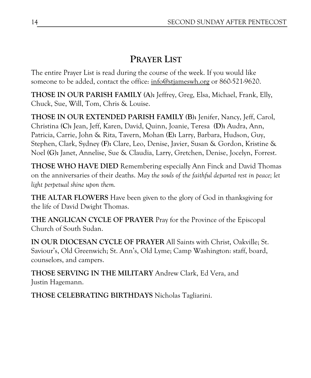## **PRAYER LIST**

The entire Prayer List is read during the course of the week. If you would like someone to be added, contact the office: [info@stjameswh.org](mailto:info@stjameswh.org) or 860-521-9620.

**THOSE IN OUR PARISH FAMILY (A):** Jeffrey, Greg, Elsa, Michael, Frank, Elly, Chuck, Sue, Will, Tom, Chris & Louise.

**THOSE IN OUR EXTENDED PARISH FAMILY (B):** Jenifer, Nancy, Jeff, Carol, Christina **(C):** Jean, Jeff, Karen, David, Quinn, Joanie, Teresa **(D):** Audra, Ann, Patricia, Carrie, John & Rita, Tavern, Mohan **(E):** Larry, Barbara, Hudson, Guy, Stephen, Clark, Sydney **(F):** Clare, Leo, Denise, Javier, Susan & Gordon, Kristine & Noel **(G):** Janet, Annelise, Sue & Claudia, Larry, Gretchen, Denise, Jocelyn, Forrest.

**THOSE WHO HAVE DIED** Remembering especially Ann Finck and David Thomas on the anniversaries of their deaths. *May the souls of the faithful departed rest in peace; let light perpetual shine upon them.*

**THE ALTAR FLOWERS** Have been given to the glory of God in thanksgiving for the life of David Dwight Thomas.

**THE ANGLICAN CYCLE OF PRAYER** Pray for the Province of the Episcopal Church of South Sudan.

**IN OUR DIOCESAN CYCLE OF PRAYER** All Saints with Christ, Oakville; St. Saviour's, Old Greenwich; St. Ann's, Old Lyme; Camp Washington: staff, board, counselors, and campers.

**THOSE SERVING IN THE MILITARY** Andrew Clark, Ed Vera, and Justin Hagemann.

**THOSE CELEBRATING BIRTHDAYS** Nicholas Tagliarini.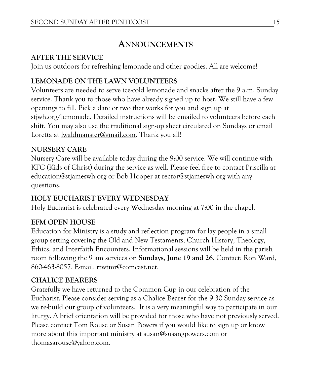## **ANNOUNCEMENTS**

#### **AFTER THE SERVICE**

Join us outdoors for refreshing lemonade and other goodies. All are welcome!

#### **LEMONADE ON THE LAWN VOLUNTEERS**

Volunteers are needed to serve ice-cold lemonade and snacks after the 9 a.m. Sunday service. Thank you to those who have already signed up to host. We still have a few openings to fill. Pick a date or two that works for you and sign up at stjwh.org/lemonade. Detailed instructions will be emailed to volunteers before each shift. You may also use the traditional sign-up sheet circulated on Sundays or email Loretta at [lwaldmanster@gmail.com.](mailto:lwaldmanster@gmail.com) Thank you all!

#### **NURSERY CARE**

Nursery Care will be available today during the 9:00 service. We will continue with KFC (Kids of Christ) during the service as well. Please feel free to contact Priscilla at education@stjameswh.org or Bob Hooper at rector@stjameswh.org with any questions.

#### **HOLY EUCHARIST EVERY WEDNESDAY**

Holy Eucharist is celebrated every Wednesday morning at 7:00 in the chapel.

## **EFM OPEN HOUSE**

Education for Ministry is a study and reflection program for lay people in a small group setting covering the Old and New Testaments, Church History, Theology, Ethics, and Interfaith Encounters. Informational sessions will be held in the parish room following the 9 am services on **Sundays, June 19 and 26**. Contact: Ron Ward, 860-463-8057. E-mail: [rtwtmr@comcast.net.](mailto:rtwtmr@comcast.net)

#### **CHALICE BEARERS**

Gratefully we have returned to the Common Cup in our celebration of the Eucharist. Please consider serving as a Chalice Bearer for the 9:30 Sunday service as we re-build our group of volunteers. It is a very meaningful way to participate in our liturgy. A brief orientation will be provided for those who have not previously served. Please contact Tom Rouse or Susan Powers if you would like to sign up or know more about this important ministry at susan@susangpowers.com or thomasarouse@yahoo.com.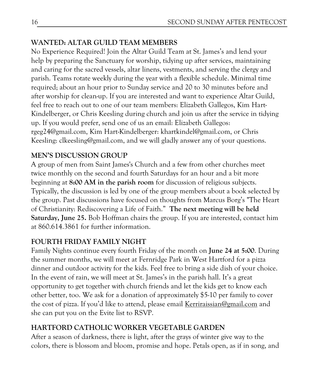#### **WANTED: ALTAR GUILD TEAM MEMBERS**

No Experience Required! Join the Altar Guild Team at St. James's and lend your help by preparing the Sanctuary for worship, tidying up after services, maintaining and caring for the sacred vessels, altar linens, vestments, and serving the clergy and parish. Teams rotate weekly during the year with a flexible schedule. Minimal time required; about an hour prior to Sunday service and 20 to 30 minutes before and after worship for clean-up. If you are interested and want to experience Altar Guild, feel free to reach out to one of our team members: Elizabeth Gallegos, Kim Hart-Kindelberger, or Chris Keesling during church and join us after the service in tidying up. If you would prefer, send one of us an email: Elizabeth Gallegos: rgeg24@gmail.com, Kim Hart-Kindelberger: khartkindel@gmail.com, or Chris Keesling: clkeesling@gmail.com, and we will gladly answer any of your questions.

#### **MEN'S DISCUSSION GROUP**

A group of men from Saint James's Church and a few from other churches meet twice monthly on the second and fourth Saturdays for an hour and a bit more beginning at **8:00 AM in the parish room** for discussion of religious subjects. Typically, the discussion is led by one of the group members about a book selected by the group. Past discussions have focused on thoughts from Marcus Borg's "The Heart of Christianity: Rediscovering a Life of Faith." **The next meeting will be held Saturday, June 25.** Bob Hoffman chairs the group. If you are interested, contact him at 860.614.3861 for further information.

#### **FOURTH FRIDAY FAMILY NIGHT**

Family Nights continue every fourth Friday of the month on **June 24 at 5:00**. During the summer months, we will meet at Fernridge Park in West Hartford for a pizza dinner and outdoor activity for the kids. Feel free to bring a side dish of your choice. In the event of rain, we will meet at St. James's in the parish hall. It's a great opportunity to get together with church friends and let the kids get to know each other better, too. We ask for a donation of approximately \$5-10 per family to cover the cost of pizza. If you'd like to attend, please email Kerriraissian@gmail.com and she can put you on the Evite list to RSVP.

#### **HARTFORD CATHOLIC WORKER VEGETABLE GARDEN**

After a season of darkness, there is light, after the grays of winter give way to the colors, there is blossom and bloom, promise and hope. Petals open, as if in song, and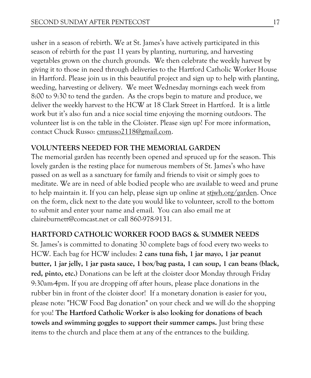usher in a season of rebirth. We at St. James's have actively participated in this season of rebirth for the past 11 years by planting, nurturing, and harvesting vegetables grown on the church grounds. We then celebrate the weekly harvest by giving it to those in need through deliveries to the Hartford Catholic Worker House in Hartford. Please join us in this beautiful project and sign up to help with planting, weeding, harvesting or delivery. We meet Wednesday mornings each week from 8:00 to 9:30 to tend the garden. As the crops begin to mature and produce, we deliver the weekly harvest to the HCW at 18 Clark Street in Hartford. It is a little work but it's also fun and a nice social time enjoying the morning outdoors. The volunteer list is on the table in the Cloister. Please sign up! For more information, contact Chuck Russo: [cmrusso2118@gmail.com.](mailto:cmrusso2118@gmail.com)

#### **VOLUNTEERS NEEDED FOR THE MEMORIAL GARDEN**

The memorial garden has recently been opened and spruced up for the season. This lovely garden is the resting place for numerous members of St. James's who have passed on as well as a sanctuary for family and friends to visit or simply goes to meditate. We are in need of able bodied people who are available to weed and prune to help maintain it. If you can help, please sign up online at [stjwh.org/garden.](http://stjwh.org/garden) Once on the form, click next to the date you would like to volunteer, scroll to the bottom to submit and enter your name and email. You can also email me at claireburnett@comcast.net or call 860-978-9131.

#### **HARTFORD CATHOLIC WORKER FOOD BAGS & SUMMER NEEDS**

St. James's is committed to donating 30 complete bags of food every two weeks to HCW. Each bag for HCW includes: **2 cans tuna fish, 1 jar mayo, 1 jar peanut butter, 1 jar jelly, 1 jar pasta sauce, 1 box/bag pasta, 1 can soup, 1 can beans (black, red, pinto, etc.)** Donations can be left at the cloister door Monday through Friday 9:30am-4pm. If you are dropping off after hours, please place donations in the rubber bin in front of the cloister door! If a monetary donation is easier for you, please note: "HCW Food Bag donation" on your check and we will do the shopping for you! **The Hartford Catholic Worker is also looking for donations of beach towels and swimming goggles to support their summer camps.** Just bring these items to the church and place them at any of the entrances to the building.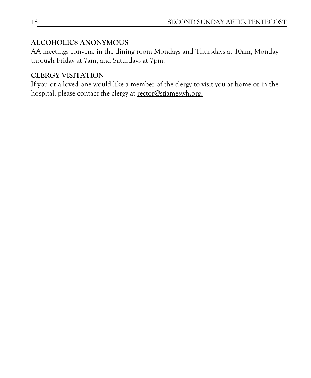#### **ALCOHOLICS ANONYMOUS**

AA meetings convene in the dining room Mondays and Thursdays at 10am, Monday through Friday at 7am, and Saturdays at 7pm.

## **CLERGY VISITATION**

If you or a loved one would like a member of the clergy to visit you at home or in the hospital, please contact the clergy at [rector@stjameswh.org.](mailto:rector@stjameswh.org)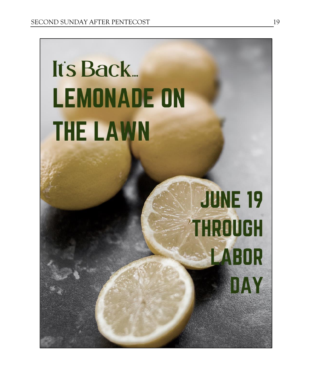# It's Back **LEMONADE ON THE LAWN**

# **JUNE 19 THROUGH** LABOR DAY